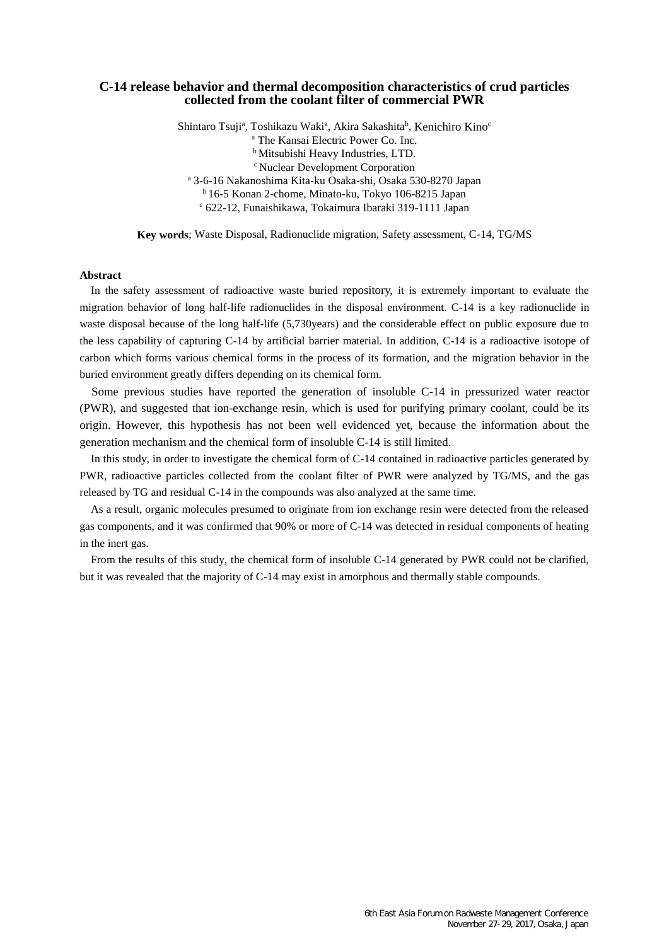# **C-14 release behavior and thermal decomposition characteristics of crud particles collected from the coolant filter of commercial PWR**

Shintaro Tsuji<sup>a</sup>, Toshikazu Waki<sup>a</sup>, Akira Sakashita<sup>b</sup>, Kenichiro Kino<sup>c</sup>

<sup>a</sup> The Kansai Electric Power Co. Inc.

**b** Mitsubishi Heavy Industries, LTD.

<sup>c</sup> Nuclear Development Corporation

<sup>a</sup> 3-6-16 Nakanoshima Kita-ku Osaka-shi, Osaka 530-8270 Japan

<sup>b</sup> 16-5 Konan 2-chome, Minato-ku, Tokyo 106-8215 Japan

<sup>c</sup> 622-12, Funaishikawa, Tokaimura Ibaraki 319-1111 Japan

**Key words**; Waste Disposal, Radionuclide migration, Safety assessment, C-14, TG/MS

# **Abstract**

In the safety assessment of radioactive waste buried repository, it is extremely important to evaluate the migration behavior of long half-life radionuclides in the disposal environment. C-14 is a key radionuclide in waste disposal because of the long half-life (5,730years) and the considerable effect on public exposure due to the less capability of capturing C-14 by artificial barrier material. In addition, C-14 is a radioactive isotope of carbon which forms various chemical forms in the process of its formation, and the migration behavior in the buried environment greatly differs depending on its chemical form.

Some previous studies have reported the generation of insoluble C-14 in pressurized water reactor (PWR), and suggested that ion-exchange resin, which is used for purifying primary coolant, could be its origin. However, this hypothesis has not been well evidenced yet, because the information about the generation mechanism and the chemical form of insoluble C-14 is still limited.

In this study, in order to investigate the chemical form of C-14 contained in radioactive particles generated by PWR, radioactive particles collected from the coolant filter of PWR were analyzed by TG/MS, and the gas released by TG and residual C-14 in the compounds was also analyzed at the same time.

As a result, organic molecules presumed to originate from ion exchange resin were detected from the released gas components, and it was confirmed that 90% or more of C-14 was detected in residual components of heating in the inert gas.

From the results of this study, the chemical form of insoluble C-14 generated by PWR could not be clarified, but it was revealed that the majority of C-14 may exist in amorphous and thermally stable compounds.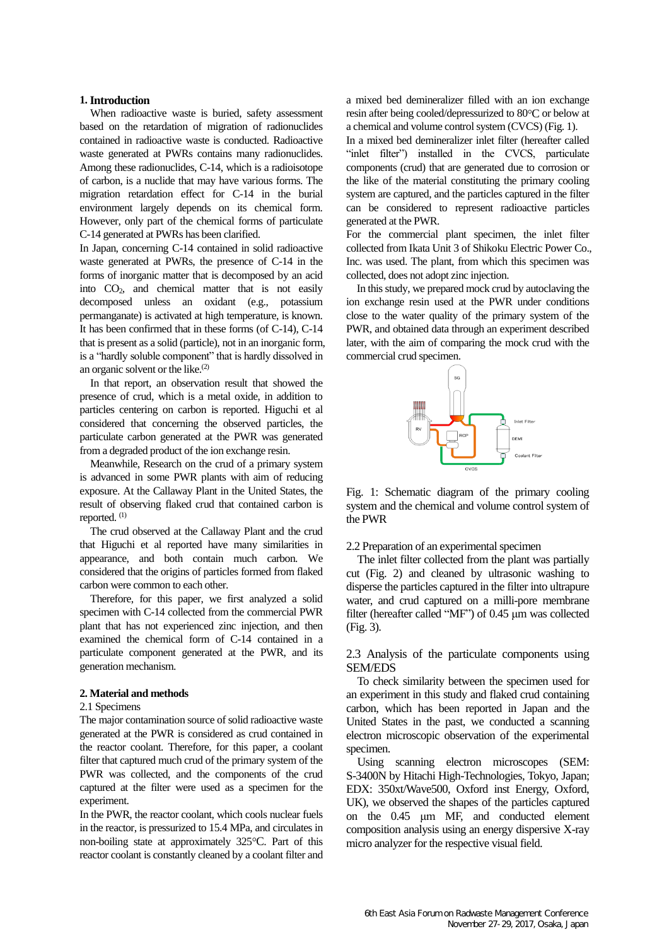#### **1.Introduction**

When radioactive waste is buried, safety assessment based on the retardation of migration of radionuclides contained in radioactive waste is conducted. Radioactive waste generated at PWRs contains many radionuclides. Among these radionuclides, C-14, which is a radioisotope of carbon, is a nuclide that may have various forms. The migration retardation effect for C-14 in the burial environment largely depends on its chemical form. However, only part of the chemical forms of particulate C-14 generated at PWRs has been clarified.

In Japan, concerning C-14 contained in solid radioactive waste generated at PWRs, the presence of C-14 in the forms of inorganic matter that is decomposed by an acid into CO2, and chemical matter that is not easily decomposed unless an oxidant (e.g., potassium permanganate) is activated at high temperature, is known. It has been confirmed that in these forms (of C-14), C-14 that is present as a solid (particle), not in an inorganic form, is a "hardly soluble component" that is hardly dissolved in an organic solvent or the like.<sup>(2)</sup>

In that report, an observation result that showed the presence of crud, which is a metal oxide, in addition to particles centering on carbon is reported. Higuchi et al considered that concerning the observed particles, the particulate carbon generated at the PWR was generated from a degraded product of the ion exchange resin.

Meanwhile, Research on the crud of a primary system is advanced in some PWR plants with aim of reducing exposure. At the Callaway Plant in the United States, the result of observing flaked crud that contained carbon is reported.<sup>(1)</sup>

The crud observed at the Callaway Plant and the crud that Higuchi et al reported have many similarities in appearance, and both contain much carbon. We considered that the origins of particles formed from flaked carbon were common to each other.

Therefore, for this paper, we first analyzed a solid specimen with C-14 collected from the commercial PWR plant that has not experienced zinc injection, and then examined the chemical form of C-14 contained in a particulate component generated at the PWR, and its generation mechanism.

### **2. Material and methods**

#### 2.1 Specimens

The major contamination source of solid radioactive waste generated at the PWR is considered as crud contained in the reactor coolant. Therefore, for this paper, a coolant filter that captured much crud of the primary system of the PWR was collected, and the components of the crud captured at the filter were used as a specimen for the experiment.

In the PWR, the reactor coolant, which cools nuclear fuels in the reactor, is pressurized to 15.4 MPa, and circulates in non-boiling state at approximately 325°C. Part of this reactor coolant is constantly cleaned by a coolant filter and

a mixed bed demineralizer filled with an ion exchange resin after being cooled/depressurized to 80°C or below at a chemical and volume control system (CVCS) (Fig. 1).

In a mixed bed demineralizer inlet filter (hereafter called "inlet filter") installed in the CVCS, particulate components (crud) that are generated due to corrosion or the like of the material constituting the primary cooling system are captured, and the particles captured in the filter can be considered to represent radioactive particles generated at the PWR.

For the commercial plant specimen, the inlet filter collected from Ikata Unit 3 of Shikoku Electric Power Co., Inc. was used. The plant, from which this specimen was collected, does not adopt zinc injection.

In this study, we prepared mock crud by autoclaving the ion exchange resin used at the PWR under conditions close to the water quality of the primary system of the PWR, and obtained data through an experiment described later, with the aim of comparing the mock crud with the commercial crud specimen.



Fig. 1: Schematic diagram of the primary cooling system and the chemical and volume control system of the PWR

## 2.2 Preparation of an experimental specimen

The inlet filter collected from the plant was partially cut (Fig. 2) and cleaned by ultrasonic washing to disperse the particles captured in the filter into ultrapure water, and crud captured on a milli-pore membrane filter (hereafter called "MF") of 0.45 μm was collected (Fig. 3).

2.3 Analysis of the particulate components using SEM/EDS

To check similarity between the specimen used for an experiment in this study and flaked crud containing carbon, which has been reported in Japan and the United States in the past, we conducted a scanning electron microscopic observation of the experimental specimen.

Using scanning electron microscopes (SEM: S-3400N by Hitachi High-Technologies, Tokyo, Japan; EDX: 350xt/Wave500, Oxford inst Energy, Oxford, UK), we observed the shapes of the particles captured on the 0.45 μm MF, and conducted element composition analysis using an energy dispersive X-ray micro analyzer for the respective visual field.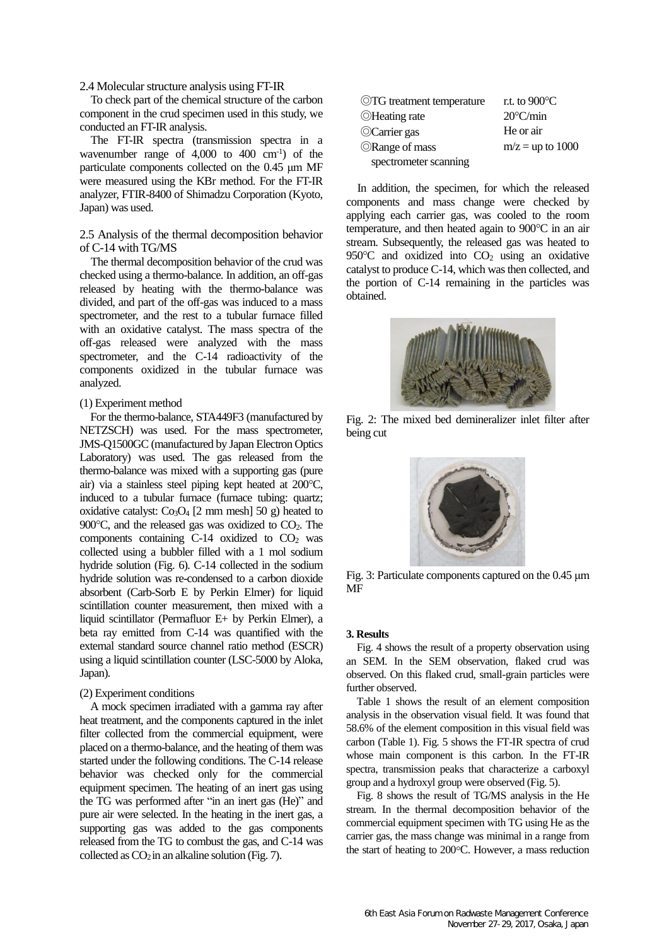2.4 Molecular structure analysis using FT-IR

To check part of the chemical structure of the carbon component in the crud specimen used in this study, we conducted an FT-IR analysis.

The FT-IR spectra (transmission spectra in a wavenumber range of 4,000 to 400 cm-1 ) of the particulate components collected on the 0.45 μm MF were measured using the KBr method. For the FT-IR analyzer, FTIR-8400 of Shimadzu Corporation (Kyoto, Japan) was used.

# 2.5 Analysis of the thermal decomposition behavior of C-14 with TG/MS

The thermal decomposition behavior of the crud was checked using a thermo-balance. In addition, an off-gas released by heating with the thermo-balance was divided, and part of the off-gas was induced to a mass spectrometer, and the rest to a tubular furnace filled with an oxidative catalyst. The mass spectra of the off-gas released were analyzed with the mass spectrometer, and the C-14 radioactivity of the components oxidized in the tubular furnace was analyzed.

#### (1) Experiment method

For the thermo-balance, STA449F3 (manufactured by NETZSCH) was used. For the mass spectrometer, JMS-Q1500GC (manufactured by Japan Electron Optics Laboratory) was used. The gas released from the thermo-balance was mixed with a supporting gas (pure air) via a stainless steel piping kept heated at 200°C, induced to a tubular furnace (furnace tubing: quartz; oxidative catalyst:  $Co<sub>3</sub>O<sub>4</sub>$  [2 mm mesh] 50 g) heated to 900 $\degree$ C, and the released gas was oxidized to CO<sub>2</sub>. The components containing  $C-14$  oxidized to  $CO<sub>2</sub>$  was collected using a bubbler filled with a 1 mol sodium hydride solution (Fig. 6). C-14 collected in the sodium hydride solution was re-condensed to a carbon dioxide absorbent (Carb-Sorb E by Perkin Elmer) for liquid scintillation counter measurement, then mixed with a liquid scintillator (Permafluor E+ by Perkin Elmer), a beta ray emitted from C-14 was quantified with the external standard source channel ratio method (ESCR) using a liquid scintillation counter (LSC-5000 by Aloka, Japan).

## (2) Experiment conditions

A mock specimen irradiated with a gamma ray after heat treatment, and the components captured in the inlet filter collected from the commercial equipment, were placed on a thermo-balance, and the heating of them was started under the following conditions. The C-14 release behavior was checked only for the commercial equipment specimen. The heating of an inert gas using the TG was performed after "in an inert gas (He)" and pure air were selected. In the heating in the inert gas, a supporting gas was added to the gas components released from the TG to combust the gas, and C-14 was collected as  $CO<sub>2</sub>$  in an alkaline solution (Fig. 7).

| ©TG treatment temperature | r.t. to $900^{\circ}$ C |
|---------------------------|-------------------------|
| ©Heating rate             | $20^{\circ}$ C/min      |
| ©Carrier gas              | He or air               |
| <b>ORange of mass</b>     | $m/z = up to 1000$      |
| spectrometer scanning     |                         |

In addition, the specimen, for which the released components and mass change were checked by applying each carrier gas, was cooled to the room temperature, and then heated again to  $900^{\circ}$ C in an air stream. Subsequently, the released gas was heated to 950 $\degree$ C and oxidized into CO<sub>2</sub> using an oxidative catalyst to produce C-14, which was then collected, and the portion of C-14 remaining in the particles was obtained.



Fig. 2: The mixed bed demineralizer inlet filter after being cut



Fig. 3: Particulate components captured on the 0.45 μm MF

### **3. Results**

Fig. 4 shows the result of a property observation using an SEM. In the SEM observation, flaked crud was observed. On this flaked crud, small-grain particles were further observed.

Table 1 shows the result of an element composition analysis in the observation visual field. It was found that 58.6% of the element composition in this visual field was carbon (Table 1). Fig. 5 shows the FT-IR spectra of crud whose main component is this carbon. In the FT-IR spectra, transmission peaks that characterize a carboxyl group and a hydroxyl group were observed (Fig. 5).

Fig. 8 shows the result of TG/MS analysis in the He stream. In the thermal decomposition behavior of the commercial equipment specimen with TG using He as the carrier gas, the mass change was minimal in a range from the start of heating to 200°C. However, a mass reduction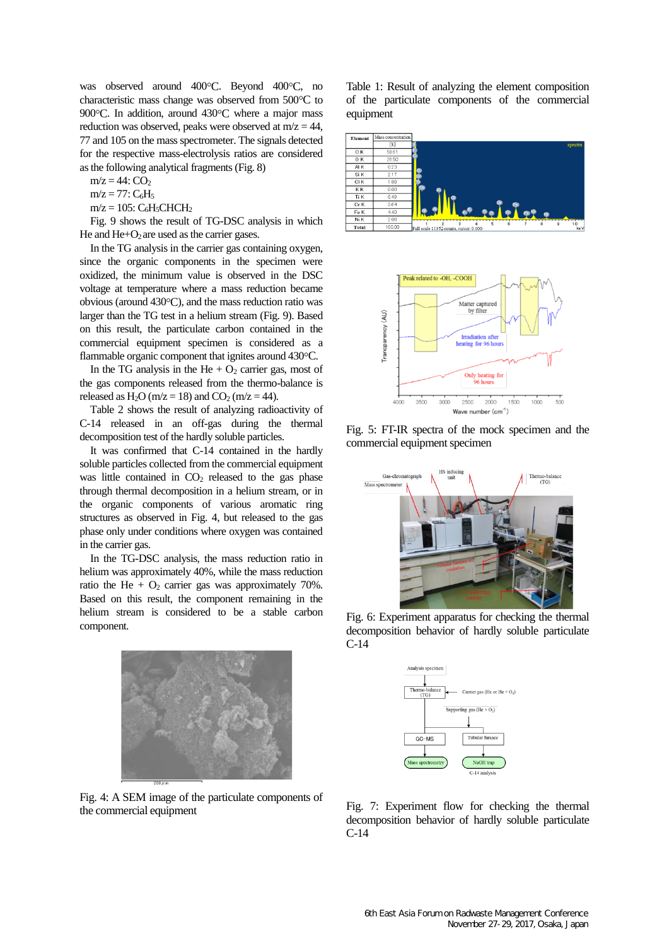was observed around 400°C. Beyond 400°C, no characteristic mass change was observed from 500°C to 900 $^{\circ}$ C. In addition, around 430 $^{\circ}$ C where a major mass reduction was observed, peaks were observed at  $m/z = 44$ , 77 and 105 on the mass spectrometer. The signals detected for the respective mass-electrolysis ratios are considered as the following analytical fragments (Fig. 8)

 $m/z = 44$ :  $CO<sub>2</sub>$ 

 $m/z = 77: C_6H_5$ 

 $m/z = 105$ : C<sub>6</sub>H<sub>5</sub>CHCH<sub>2</sub>

Fig. 9 shows the result of TG-DSC analysis in which He and  $He+O<sub>2</sub>$  are used as the carrier gases.

In the TG analysis in the carrier gas containing oxygen, since the organic components in the specimen were oxidized, the minimum value is observed in the DSC voltage at temperature where a mass reduction became obvious (around  $430^{\circ}$ C), and the mass reduction ratio was larger than the TG test in a helium stream (Fig. 9). Based on this result, the particulate carbon contained in the commercial equipment specimen is considered as a flammable organic component that ignites around 430 °C.

In the TG analysis in the He  $+$  O<sub>2</sub> carrier gas, most of the gas components released from the thermo-balance is released as  $H_2O$  (m/z = 18) and  $CO_2$  (m/z = 44).

Table 2 shows the result of analyzing radioactivity of C-14 released in an off-gas during the thermal decomposition test of the hardly soluble particles.

It was confirmed that C-14 contained in the hardly soluble particles collected from the commercial equipment was little contained in  $CO<sub>2</sub>$  released to the gas phase through thermal decomposition in a helium stream, or in the organic components of various aromatic ring structures as observed in Fig. 4, but released to the gas phase only under conditions where oxygen was contained in the carrier gas.

In the TG-DSC analysis, the mass reduction ratio in helium was approximately 40%, while the mass reduction ratio the He +  $O_2$  carrier gas was approximately 70%. Based on this result, the component remaining in the helium stream is considered to be a stable carbon component.



Fig. 4: A SEM image of the particulate components of the commercial equipment

Table 1: Result of analyzing the element composition of the particulate components of the commercial equipment





Fig. 5: FT-IR spectra of the mock specimen and the commercial equipment specimen



Fig. 6: Experiment apparatus for checking the thermal decomposition behavior of hardly soluble particulate C-14



Fig. 7: Experiment flow for checking the thermal decomposition behavior of hardly soluble particulate C-14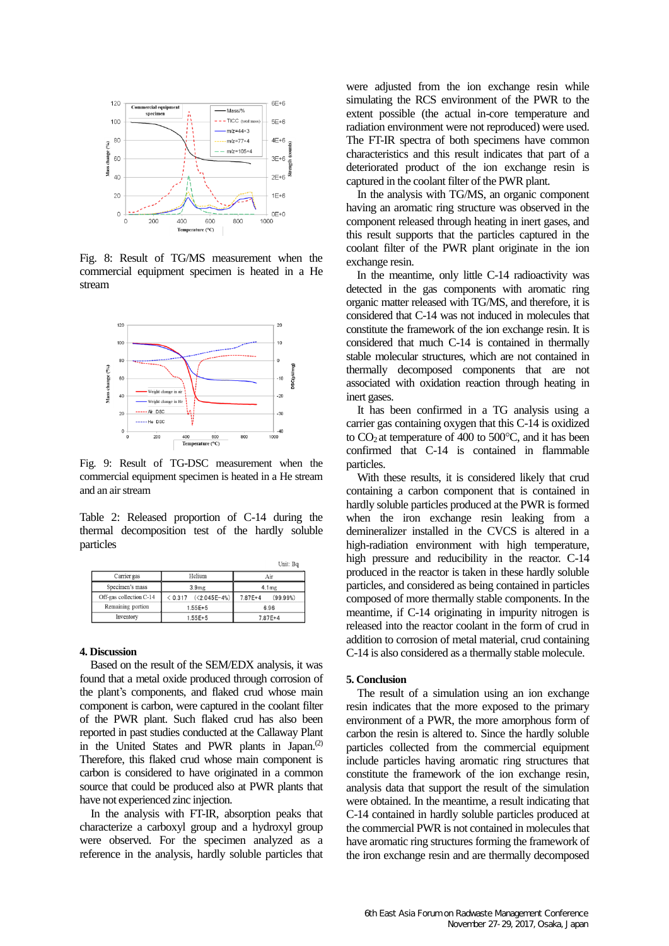

Fig. 8: Result of TG/MS measurement when the commercial equipment specimen is heated in a He stream



Fig. 9: Result of TG-DSC measurement when the commercial equipment specimen is heated in a He stream and an air stream

Table 2: Released proportion of C-14 during the thermal decomposition test of the hardly soluble particles

|                         |                      | UIII. BQ                |
|-------------------------|----------------------|-------------------------|
| Carrier gas             | Helium               | Air                     |
| Specimen's mass         | 3.9 <sub>mg</sub>    | 4.1 <sub>mg</sub>       |
| Off-gas collection C-14 | $(5.317)(2.045E-4%)$ | $7.87E + 4$<br>(99.99%) |
| Remaining portion       | $1.55E + 5$          | 6.96                    |
| Inventory               | $1.55E + 5$          | $7.87E+4$               |

### **4. Discussion**

Based on the result of the SEM/EDX analysis, it was found that a metal oxide produced through corrosion of the plant's components, and flaked crud whose main component is carbon, were captured in the coolant filter of the PWR plant. Such flaked crud has also been reported in past studies conducted at the Callaway Plant in the United States and PWR plants in Japan.<sup>(2)</sup> Therefore, this flaked crud whose main component is carbon is considered to have originated in a common source that could be produced also at PWR plants that have not experienced zinc injection.

In the analysis with FT-IR, absorption peaks that characterize a carboxyl group and a hydroxyl group were observed. For the specimen analyzed as a reference in the analysis, hardly soluble particles that were adjusted from the ion exchange resin while simulating the RCS environment of the PWR to the extent possible (the actual in-core temperature and radiation environment were not reproduced) were used. The FT-IR spectra of both specimens have common characteristics and this result indicates that part of a deteriorated product of the ion exchange resin is captured in the coolant filter of the PWR plant.

In the analysis with TG/MS, an organic component having an aromatic ring structure was observed in the component released through heating in inert gases, and this result supports that the particles captured in the coolant filter of the PWR plant originate in the ion exchange resin.

In the meantime, only little C-14 radioactivity was detected in the gas components with aromatic ring organic matter released with TG/MS, and therefore, it is considered that C-14 was not induced in molecules that constitute the framework of the ion exchange resin. It is considered that much C-14 is contained in thermally stable molecular structures, which are not contained in thermally decomposed components that are not associated with oxidation reaction through heating in inert gases.

It has been confirmed in a TG analysis using a carrier gas containing oxygen that this C-14 is oxidized to  $CO<sub>2</sub>$  at temperature of 400 to 500 $\degree$ C, and it has been confirmed that C-14 is contained in flammable particles.

With these results, it is considered likely that crud containing a carbon component that is contained in hardly soluble particles produced at the PWR is formed when the iron exchange resin leaking from a demineralizer installed in the CVCS is altered in a high-radiation environment with high temperature, high pressure and reducibility in the reactor. C-14 produced in the reactor is taken in these hardly soluble particles, and considered as being contained in particles composed of more thermally stable components. In the meantime, if C-14 originating in impurity nitrogen is released into the reactor coolant in the form of crud in addition to corrosion of metal material, crud containing C-14 is also considered as a thermally stable molecule.

#### **5. Conclusion**

The result of a simulation using an ion exchange resin indicates that the more exposed to the primary environment of a PWR, the more amorphous form of carbon the resin is altered to. Since the hardly soluble particles collected from the commercial equipment include particles having aromatic ring structures that constitute the framework of the ion exchange resin, analysis data that support the result of the simulation were obtained. In the meantime, a result indicating that C-14 contained in hardly soluble particles produced at the commercial PWR is not contained in molecules that have aromatic ring structures forming the framework of the iron exchange resin and are thermally decomposed